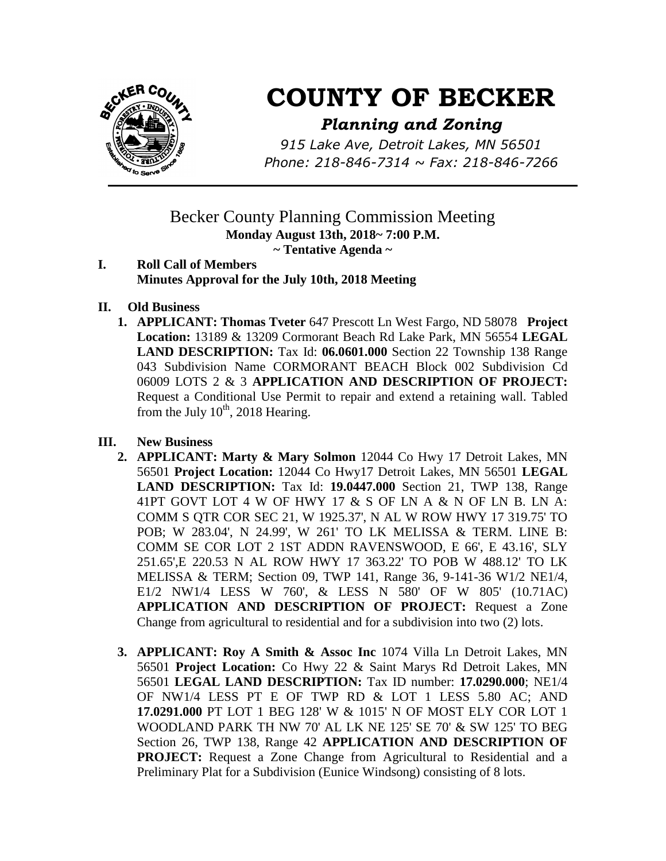

# **COUNTY OF BECKER**

## *Planning and Zoning*

*915 Lake Ave, Detroit Lakes, MN 56501 Phone: 218-846-7314 ~ Fax: 218-846-7266*

## Becker County Planning Commission Meeting **Monday August 13th, 2018~ 7:00 P.M. ~ Tentative Agenda ~**

- **I. Roll Call of Members Minutes Approval for the July 10th, 2018 Meeting**
- **II. Old Business**
	- **1. APPLICANT: Thomas Tveter** 647 Prescott Ln West Fargo, ND 58078 **Project Location:** 13189 & 13209 Cormorant Beach Rd Lake Park, MN 56554 **LEGAL LAND DESCRIPTION:** Tax Id: **06.0601.000** Section 22 Township 138 Range 043 Subdivision Name CORMORANT BEACH Block 002 Subdivision Cd 06009 LOTS 2 & 3 **APPLICATION AND DESCRIPTION OF PROJECT:**  Request a Conditional Use Permit to repair and extend a retaining wall. Tabled from the July  $10^{th}$ , 2018 Hearing.

### **III. New Business**

- **2. APPLICANT: Marty & Mary Solmon** 12044 Co Hwy 17 Detroit Lakes, MN 56501 **Project Location:** 12044 Co Hwy17 Detroit Lakes, MN 56501 **LEGAL LAND DESCRIPTION:** Tax Id: **19.0447.000** Section 21, TWP 138, Range 41PT GOVT LOT 4 W OF HWY 17 & S OF LN A & N OF LN B. LN A: COMM S QTR COR SEC 21, W 1925.37', N AL W ROW HWY 17 319.75' TO POB; W 283.04', N 24.99', W 261' TO LK MELISSA & TERM. LINE B: COMM SE COR LOT 2 1ST ADDN RAVENSWOOD, E 66', E 43.16', SLY 251.65',E 220.53 N AL ROW HWY 17 363.22' TO POB W 488.12' TO LK MELISSA & TERM; Section 09, TWP 141, Range 36, 9-141-36 W1/2 NE1/4, E1/2 NW1/4 LESS W 760', & LESS N 580' OF W 805' (10.71AC) **APPLICATION AND DESCRIPTION OF PROJECT:** Request a Zone Change from agricultural to residential and for a subdivision into two (2) lots.
- **3. APPLICANT: Roy A Smith & Assoc Inc** 1074 Villa Ln Detroit Lakes, MN 56501 **Project Location:** Co Hwy 22 & Saint Marys Rd Detroit Lakes, MN 56501 **LEGAL LAND DESCRIPTION:** Tax ID number: **17.0290.000**; NE1/4 OF NW1/4 LESS PT E OF TWP RD & LOT 1 LESS 5.80 AC; AND **17.0291.000** PT LOT 1 BEG 128' W & 1015' N OF MOST ELY COR LOT 1 WOODLAND PARK TH NW 70' AL LK NE 125' SE 70' & SW 125' TO BEG Section 26, TWP 138, Range 42 **APPLICATION AND DESCRIPTION OF PROJECT:** Request a Zone Change from Agricultural to Residential and a Preliminary Plat for a Subdivision (Eunice Windsong) consisting of 8 lots.